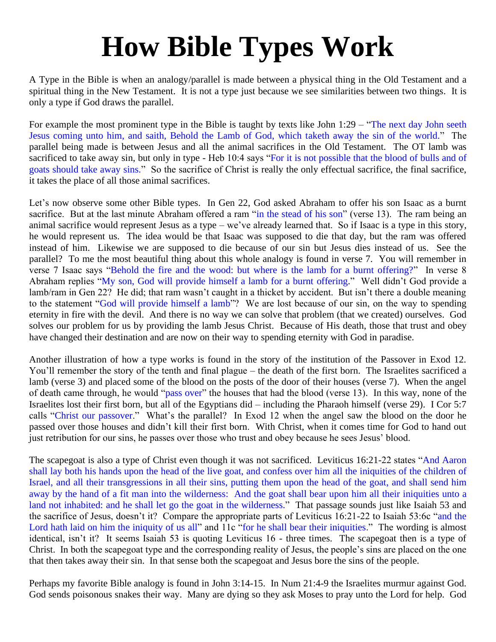## **How Bible Types Work**

A Type in the Bible is when an analogy/parallel is made between a physical thing in the Old Testament and a spiritual thing in the New Testament. It is not a type just because we see similarities between two things. It is only a type if God draws the parallel.

For example the most prominent type in the Bible is taught by texts like John 1:29 – "The next day John seeth Jesus coming unto him, and saith, Behold the Lamb of God, which taketh away the sin of the world." The parallel being made is between Jesus and all the animal sacrifices in the Old Testament. The OT lamb was sacrificed to take away sin, but only in type - Heb 10:4 says "For it is not possible that the blood of bulls and of goats should take away sins." So the sacrifice of Christ is really the only effectual sacrifice, the final sacrifice, it takes the place of all those animal sacrifices.

Let's now observe some other Bible types. In Gen 22, God asked Abraham to offer his son Isaac as a burnt sacrifice. But at the last minute Abraham offered a ram "in the stead of his son" (verse 13). The ram being an animal sacrifice would represent Jesus as a type – we've already learned that. So if Isaac is a type in this story, he would represent us. The idea would be that Isaac was supposed to die that day, but the ram was offered instead of him. Likewise we are supposed to die because of our sin but Jesus dies instead of us. See the parallel? To me the most beautiful thing about this whole analogy is found in verse 7. You will remember in verse 7 Isaac says "Behold the fire and the wood: but where is the lamb for a burnt offering?" In verse 8 Abraham replies "My son, God will provide himself a lamb for a burnt offering." Well didn't God provide a lamb/ram in Gen 22? He did; that ram wasn't caught in a thicket by accident. But isn't there a double meaning to the statement "God will provide himself a lamb"? We are lost because of our sin, on the way to spending eternity in fire with the devil. And there is no way we can solve that problem (that we created) ourselves. God solves our problem for us by providing the lamb Jesus Christ. Because of His death, those that trust and obey have changed their destination and are now on their way to spending eternity with God in paradise.

Another illustration of how a type works is found in the story of the institution of the Passover in Exod 12. You'll remember the story of the tenth and final plague – the death of the first born. The Israelites sacrificed a lamb (verse 3) and placed some of the blood on the posts of the door of their houses (verse 7). When the angel of death came through, he would "pass over" the houses that had the blood (verse 13). In this way, none of the Israelites lost their first born, but all of the Egyptians did – including the Pharaoh himself (verse 29). I Cor 5:7 calls "Christ our passover." What's the parallel? In Exod 12 when the angel saw the blood on the door he passed over those houses and didn't kill their first born. With Christ, when it comes time for God to hand out just retribution for our sins, he passes over those who trust and obey because he sees Jesus' blood.

The scapegoat is also a type of Christ even though it was not sacrificed. Leviticus 16:21-22 states "And Aaron shall lay both his hands upon the head of the live goat, and confess over him all the iniquities of the children of Israel, and all their transgressions in all their sins, putting them upon the head of the goat, and shall send him away by the hand of a fit man into the wilderness: And the goat shall bear upon him all their iniquities unto a land not inhabited: and he shall let go the goat in the wilderness." That passage sounds just like Isaiah 53 and the sacrifice of Jesus, doesn't it? Compare the appropriate parts of Leviticus 16:21-22 to Isaiah 53:6c "and the Lord hath laid on him the iniquity of us all" and 11c "for he shall bear their iniquities." The wording is almost identical, isn't it? It seems Isaiah 53 is quoting Leviticus 16 - three times. The scapegoat then is a type of Christ. In both the scapegoat type and the corresponding reality of Jesus, the people's sins are placed on the one that then takes away their sin. In that sense both the scapegoat and Jesus bore the sins of the people.

Perhaps my favorite Bible analogy is found in John 3:14-15. In Num 21:4-9 the Israelites murmur against God. God sends poisonous snakes their way. Many are dying so they ask Moses to pray unto the Lord for help. God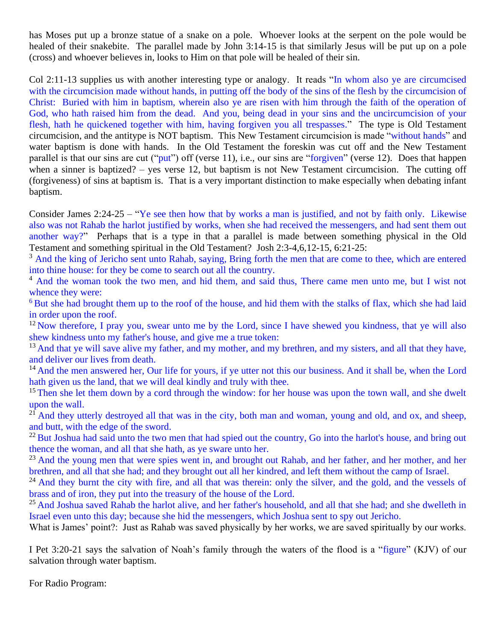has Moses put up a bronze statue of a snake on a pole. Whoever looks at the serpent on the pole would be healed of their snakebite. The parallel made by John 3:14-15 is that similarly Jesus will be put up on a pole (cross) and whoever believes in, looks to Him on that pole will be healed of their sin.

Col 2:11-13 supplies us with another interesting type or analogy. It reads "In whom also ye are circumcised with the circumcision made without hands, in putting off the body of the sins of the flesh by the circumcision of Christ: Buried with him in baptism, wherein also ye are risen with him through the faith of the operation of God, who hath raised him from the dead. And you, being dead in your sins and the uncircumcision of your flesh, hath he quickened together with him, having forgiven you all trespasses." The type is Old Testament circumcision, and the antitype is NOT baptism. This New Testament circumcision is made "without hands" and water baptism is done with hands. In the Old Testament the foreskin was cut off and the New Testament parallel is that our sins are cut ("put") off (verse 11), i.e., our sins are "forgiven" (verse 12). Does that happen when a sinner is baptized? – yes verse 12, but baptism is not New Testament circumcision. The cutting off (forgiveness) of sins at baptism is. That is a very important distinction to make especially when debating infant baptism.

Consider James 2:24-25 – "Ye see then how that by works a man is justified, and not by faith only. Likewise also was not Rahab the harlot justified by works, when she had received the messengers, and had sent them out another way?" Perhaps that is a type in that a parallel is made between something physical in the Old Testament and something spiritual in the Old Testament? Josh 2:3-4,6,12-15, 6:21-25:

<sup>3</sup> And the king of Jericho sent unto Rahab, saying, Bring forth the men that are come to thee, which are entered into thine house: for they be come to search out all the country.

<sup>4</sup> And the woman took the two men, and hid them, and said thus, There came men unto me, but I wist not whence they were:

<sup>6</sup> But she had brought them up to the roof of the house, and hid them with the stalks of flax, which she had laid in order upon the roof.

 $12$  Now therefore, I pray you, swear unto me by the Lord, since I have shewed you kindness, that ye will also shew kindness unto my father's house, and give me a true token:

<sup>13</sup> And that ye will save alive my father, and my mother, and my brethren, and my sisters, and all that they have, and deliver our lives from death.

<sup>14</sup> And the men answered her, Our life for yours, if ye utter not this our business. And it shall be, when the Lord hath given us the land, that we will deal kindly and truly with thee.

<sup>15</sup> Then she let them down by a cord through the window: for her house was upon the town wall, and she dwelt upon the wall.

 $2\hat{1}$  And they utterly destroyed all that was in the city, both man and woman, young and old, and ox, and sheep, and butt, with the edge of the sword.

 $^{22}$  But Joshua had said unto the two men that had spied out the country, Go into the harlot's house, and bring out thence the woman, and all that she hath, as ye sware unto her.

<sup>23</sup> And the young men that were spies went in, and brought out Rahab, and her father, and her mother, and her brethren, and all that she had; and they brought out all her kindred, and left them without the camp of Israel.

<sup>24</sup> And they burnt the city with fire, and all that was therein: only the silver, and the gold, and the vessels of brass and of iron, they put into the treasury of the house of the Lord.

<sup>25</sup> And Joshua saved Rahab the harlot alive, and her father's household, and all that she had; and she dwelleth in Israel even unto this day; because she hid the messengers, which Joshua sent to spy out Jericho.

What is James' point?: Just as Rahab was saved physically by her works, we are saved spiritually by our works.

I Pet 3:20-21 says the salvation of Noah's family through the waters of the flood is a "figure" (KJV) of our salvation through water baptism.

For Radio Program: